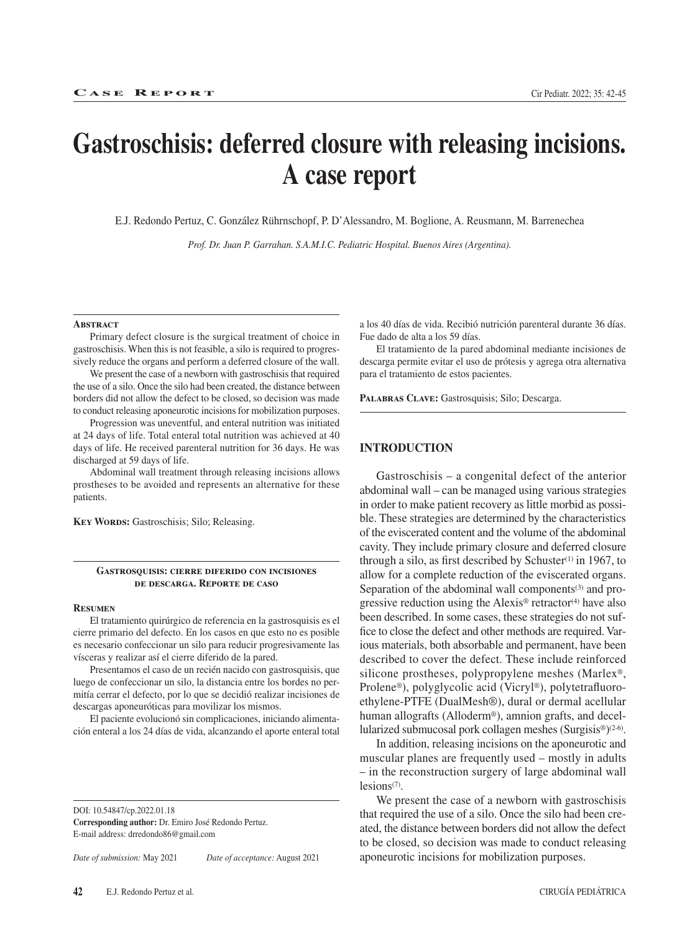# **Gastroschisis: deferred closure with releasing incisions. A case report**

E.J. Redondo Pertuz, C. González Rührnschopf, P. D'Alessandro, M. Boglione, A. Reusmann, M. Barrenechea

*Prof. Dr. Juan P. Garrahan. S.A.M.I.C. Pediatric Hospital. Buenos Aires (Argentina).*

#### **Abstract**

Primary defect closure is the surgical treatment of choice in gastroschisis. When this is not feasible, a silo is required to progressively reduce the organs and perform a deferred closure of the wall.

We present the case of a newborn with gastroschisis that required the use of a silo. Once the silo had been created, the distance between borders did not allow the defect to be closed, so decision was made to conduct releasing aponeurotic incisions for mobilization purposes.

Progression was uneventful, and enteral nutrition was initiated at 24 days of life. Total enteral total nutrition was achieved at 40 days of life. He received parenteral nutrition for 36 days. He was discharged at 59 days of life.

Abdominal wall treatment through releasing incisions allows prostheses to be avoided and represents an alternative for these patients.

**Key Words:** Gastroschisis; Silo; Releasing.

## **Gastrosquisis: cierre diferido con incisiones de descarga. Reporte de caso**

## **Resumen**

El tratamiento quirúrgico de referencia en la gastrosquisis es el cierre primario del defecto. En los casos en que esto no es posible es necesario confeccionar un silo para reducir progresivamente las vísceras y realizar así el cierre diferido de la pared.

Presentamos el caso de un recién nacido con gastrosquisis, que luego de confeccionar un silo, la distancia entre los bordes no permitía cerrar el defecto, por lo que se decidió realizar incisiones de descargas aponeuróticas para movilizar los mismos.

El paciente evolucionó sin complicaciones, iniciando alimentación enteral a los 24 días de vida, alcanzando el aporte enteral total

DOI: 10.54847/cp.2022.01.18

**Corresponding author:** Dr. Emiro José Redondo Pertuz. E-mail address: drredondo86@gmail.com

*Date of submission:* May 2021 *Date of acceptance:* August 2021

a los 40 días de vida. Recibió nutrición parenteral durante 36 días. Fue dado de alta a los 59 días.

El tratamiento de la pared abdominal mediante incisiones de descarga permite evitar el uso de prótesis y agrega otra alternativa para el tratamiento de estos pacientes.

**Palabras Clave:** Gastrosquisis; Silo; Descarga.

## **INTRODUCTION**

Gastroschisis – a congenital defect of the anterior abdominal wall – can be managed using various strategies in order to make patient recovery as little morbid as possible. These strategies are determined by the characteristics of the eviscerated content and the volume of the abdominal cavity. They include primary closure and deferred closure through a silo, as first described by Schuster $(1)$  in 1967, to allow for a complete reduction of the eviscerated organs. Separation of the abdominal wall components<sup>(3)</sup> and progressive reduction using the Alexis® retractor<sup>(4)</sup> have also been described. In some cases, these strategies do not suffice to close the defect and other methods are required. Various materials, both absorbable and permanent, have been described to cover the defect. These include reinforced silicone prostheses, polypropylene meshes (Marlex®, Prolene®), polyglycolic acid (Vicryl®), polytetrafluoroethylene-PTFE (DualMesh®), dural or dermal acellular human allografts (Alloderm®), amnion grafts, and decellularized submucosal pork collagen meshes (Surgisis®)(2-6).

In addition, releasing incisions on the aponeurotic and muscular planes are frequently used – mostly in adults – in the reconstruction surgery of large abdominal wall lesions<sup>(7)</sup>.

We present the case of a newborn with gastroschisis that required the use of a silo. Once the silo had been created, the distance between borders did not allow the defect to be closed, so decision was made to conduct releasing aponeurotic incisions for mobilization purposes.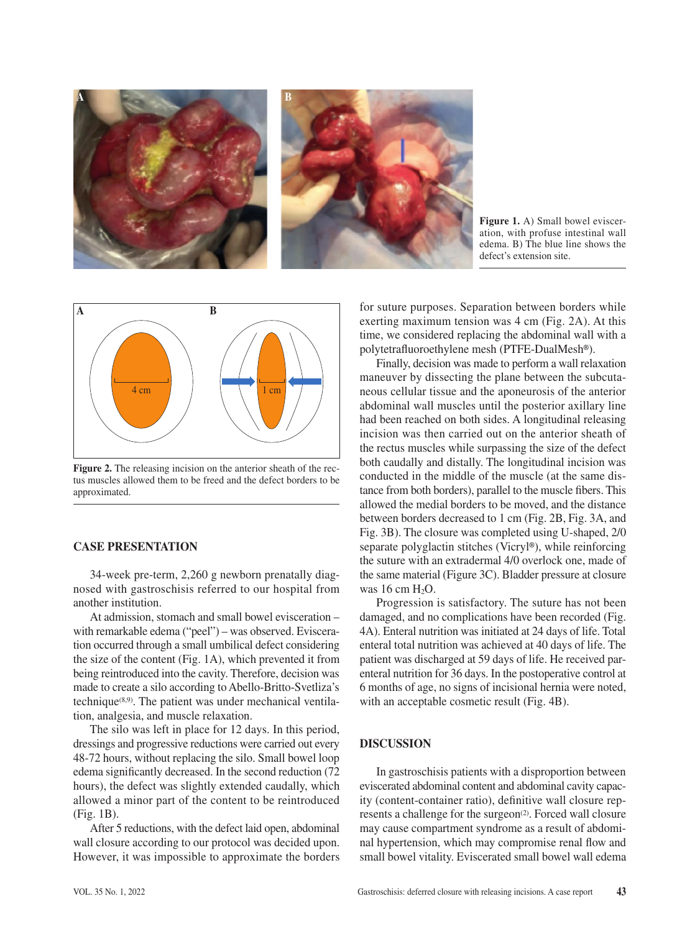

**Figure 1.** A) Small bowel evisceration, with profuse intestinal wall edema. B) The blue line shows the defect's extension site.



**Figure 2.** The releasing incision on the anterior sheath of the rectus muscles allowed them to be freed and the defect borders to be approximated.

# **CASE PRESENTATION**

34-week pre-term, 2,260 g newborn prenatally diagnosed with gastroschisis referred to our hospital from another institution.

At admission, stomach and small bowel evisceration – with remarkable edema ("peel") – was observed. Evisceration occurred through a small umbilical defect considering the size of the content (Fig. 1A), which prevented it from being reintroduced into the cavity. Therefore, decision was made to create a silo according to Abello-Britto-Svetliza's technique $(8,9)$ . The patient was under mechanical ventilation, analgesia, and muscle relaxation.

The silo was left in place for 12 days. In this period, dressings and progressive reductions were carried out every 48-72 hours, without replacing the silo. Small bowel loop edema significantly decreased. In the second reduction (72 hours), the defect was slightly extended caudally, which allowed a minor part of the content to be reintroduced (Fig. 1B).

After 5 reductions, with the defect laid open, abdominal wall closure according to our protocol was decided upon. However, it was impossible to approximate the borders for suture purposes. Separation between borders while exerting maximum tension was 4 cm (Fig. 2A). At this time, we considered replacing the abdominal wall with a polytetrafluoroethylene mesh (PTFE-DualMesh**®**).

Finally, decision was made to perform a wall relaxation maneuver by dissecting the plane between the subcutaneous cellular tissue and the aponeurosis of the anterior abdominal wall muscles until the posterior axillary line had been reached on both sides. A longitudinal releasing incision was then carried out on the anterior sheath of the rectus muscles while surpassing the size of the defect both caudally and distally. The longitudinal incision was conducted in the middle of the muscle (at the same distance from both borders), parallel to the muscle fibers. This allowed the medial borders to be moved, and the distance between borders decreased to 1 cm (Fig. 2B, Fig. 3A, and Fig. 3B). The closure was completed using U-shaped, 2/0 separate polyglactin stitches (Vicryl**®**), while reinforcing the suture with an extradermal 4/0 overlock one, made of the same material (Figure 3C). Bladder pressure at closure was  $16 \text{ cm } H_2O$ .

Progression is satisfactory. The suture has not been damaged, and no complications have been recorded (Fig. 4A). Enteral nutrition was initiated at 24 days of life. Total enteral total nutrition was achieved at 40 days of life. The patient was discharged at 59 days of life. He received parenteral nutrition for 36 days. In the postoperative control at 6 months of age, no signs of incisional hernia were noted, with an acceptable cosmetic result (Fig. 4B).

# **DISCUSSION**

In gastroschisis patients with a disproportion between eviscerated abdominal content and abdominal cavity capacity (content-container ratio), definitive wall closure represents a challenge for the surgeon<sup>(2)</sup>. Forced wall closure may cause compartment syndrome as a result of abdominal hypertension, which may compromise renal flow and small bowel vitality. Eviscerated small bowel wall edema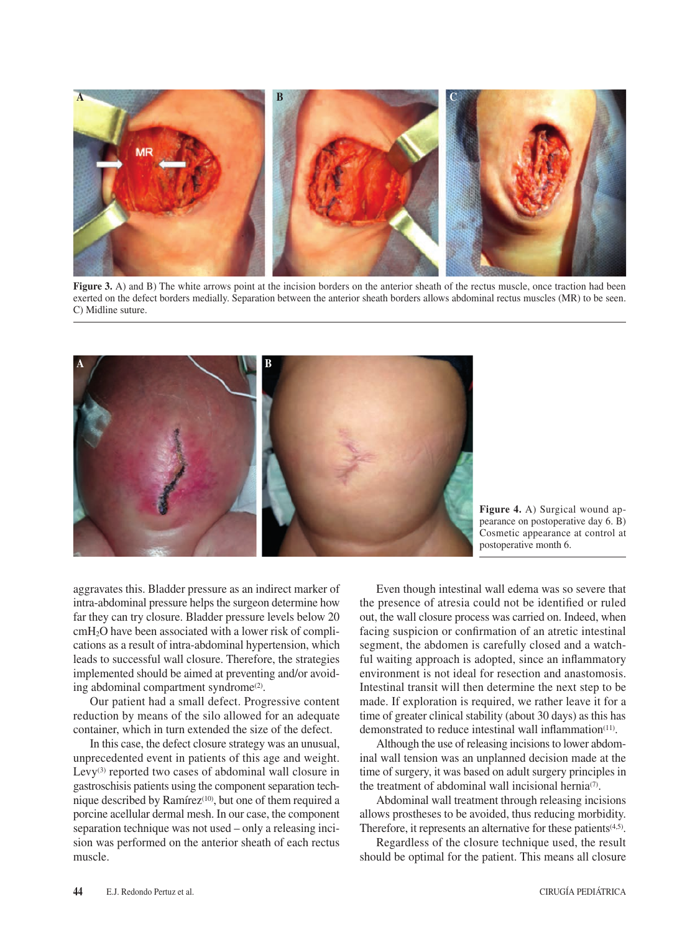

**Figure 3.** A) and B) The white arrows point at the incision borders on the anterior sheath of the rectus muscle, once traction had been exerted on the defect borders medially. Separation between the anterior sheath borders allows abdominal rectus muscles (MR) to be seen. C) Midline suture.



**Figure 4.** A) Surgical wound appearance on postoperative day 6. B) Cosmetic appearance at control at postoperative month 6.

aggravates this. Bladder pressure as an indirect marker of intra-abdominal pressure helps the surgeon determine how far they can try closure. Bladder pressure levels below 20 cmH2O have been associated with a lower risk of complications as a result of intra-abdominal hypertension, which leads to successful wall closure. Therefore, the strategies implemented should be aimed at preventing and/or avoiding abdominal compartment syndrome<sup>(2)</sup>.

Our patient had a small defect. Progressive content reduction by means of the silo allowed for an adequate container, which in turn extended the size of the defect.

In this case, the defect closure strategy was an unusual, unprecedented event in patients of this age and weight. Levy<sup>(3)</sup> reported two cases of abdominal wall closure in gastroschisis patients using the component separation technique described by Ramírez<sup>(10)</sup>, but one of them required a porcine acellular dermal mesh. In our case, the component separation technique was not used – only a releasing incision was performed on the anterior sheath of each rectus muscle.

Even though intestinal wall edema was so severe that the presence of atresia could not be identified or ruled out, the wall closure process was carried on. Indeed, when facing suspicion or confirmation of an atretic intestinal segment, the abdomen is carefully closed and a watchful waiting approach is adopted, since an inflammatory environment is not ideal for resection and anastomosis. Intestinal transit will then determine the next step to be made. If exploration is required, we rather leave it for a time of greater clinical stability (about 30 days) as this has demonstrated to reduce intestinal wall inflammation<sup>(11)</sup>.

Although the use of releasing incisions to lower abdominal wall tension was an unplanned decision made at the time of surgery, it was based on adult surgery principles in the treatment of abdominal wall incisional hernia<sup>(7)</sup>.

Abdominal wall treatment through releasing incisions allows prostheses to be avoided, thus reducing morbidity. Therefore, it represents an alternative for these patients<sup>(4,5)</sup>.

Regardless of the closure technique used, the result should be optimal for the patient. This means all closure